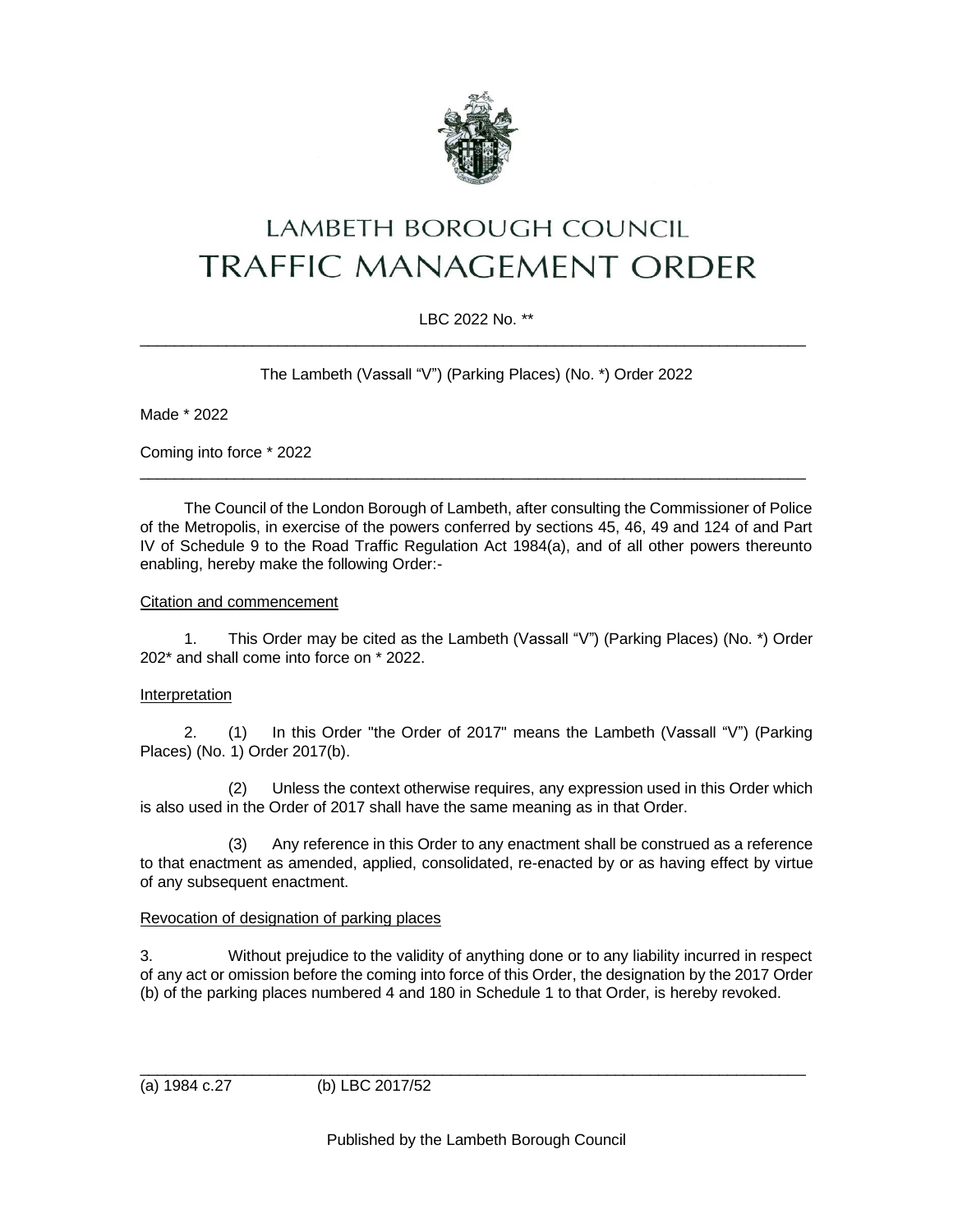

# **LAMBETH BOROUGH COUNCIL TRAFFIC MANAGEMENT ORDER**

## LBC 2022 No. \*\*  $\_$  ,  $\_$  ,  $\_$  ,  $\_$  ,  $\_$  ,  $\_$  ,  $\_$  ,  $\_$  ,  $\_$  ,  $\_$  ,  $\_$  ,  $\_$  ,  $\_$  ,  $\_$  ,  $\_$  ,  $\_$  ,  $\_$  ,  $\_$  ,  $\_$  ,  $\_$  ,  $\_$  ,  $\_$  ,  $\_$  ,  $\_$  ,  $\_$  ,  $\_$  ,  $\_$  ,  $\_$  ,  $\_$  ,  $\_$  ,  $\_$  ,  $\_$  ,  $\_$  ,  $\_$  ,  $\_$  ,  $\_$  ,  $\_$  ,

The Lambeth (Vassall "V") (Parking Places) (No. \*) Order 2022

Made \* 2022

Coming into force \* 2022

The Council of the London Borough of Lambeth, after consulting the Commissioner of Police of the Metropolis, in exercise of the powers conferred by sections 45, 46, 49 and 124 of and Part IV of Schedule 9 to the Road Traffic Regulation Act 1984(a), and of all other powers thereunto enabling, hereby make the following Order:-

\_\_\_\_\_\_\_\_\_\_\_\_\_\_\_\_\_\_\_\_\_\_\_\_\_\_\_\_\_\_\_\_\_\_\_\_\_\_\_\_\_\_\_\_\_\_\_\_\_\_\_\_\_\_\_\_\_\_\_\_\_\_\_\_\_\_\_\_\_\_\_\_\_\_\_\_\_

#### Citation and commencement

1. This Order may be cited as the Lambeth (Vassall "V") (Parking Places) (No. \*) Order 202\* and shall come into force on \* 2022.

### Interpretation

2. (1) In this Order "the Order of 2017" means the Lambeth (Vassall "V") (Parking Places) (No. 1) Order 2017(b).

(2) Unless the context otherwise requires, any expression used in this Order which is also used in the Order of 2017 shall have the same meaning as in that Order.

(3) Any reference in this Order to any enactment shall be construed as a reference to that enactment as amended, applied, consolidated, re-enacted by or as having effect by virtue of any subsequent enactment.

### Revocation of designation of parking places

3. Without prejudice to the validity of anything done or to any liability incurred in respect of any act or omission before the coming into force of this Order, the designation by the 2017 Order (b) of the parking places numbered 4 and 180 in Schedule 1 to that Order, is hereby revoked.

\_\_\_\_\_\_\_\_\_\_\_\_\_\_\_\_\_\_\_\_\_\_\_\_\_\_\_\_\_\_\_\_\_\_\_\_\_\_\_\_\_\_\_\_\_\_\_\_\_\_\_\_\_\_\_\_\_\_\_\_\_\_\_\_\_\_\_\_\_\_\_\_\_\_\_\_\_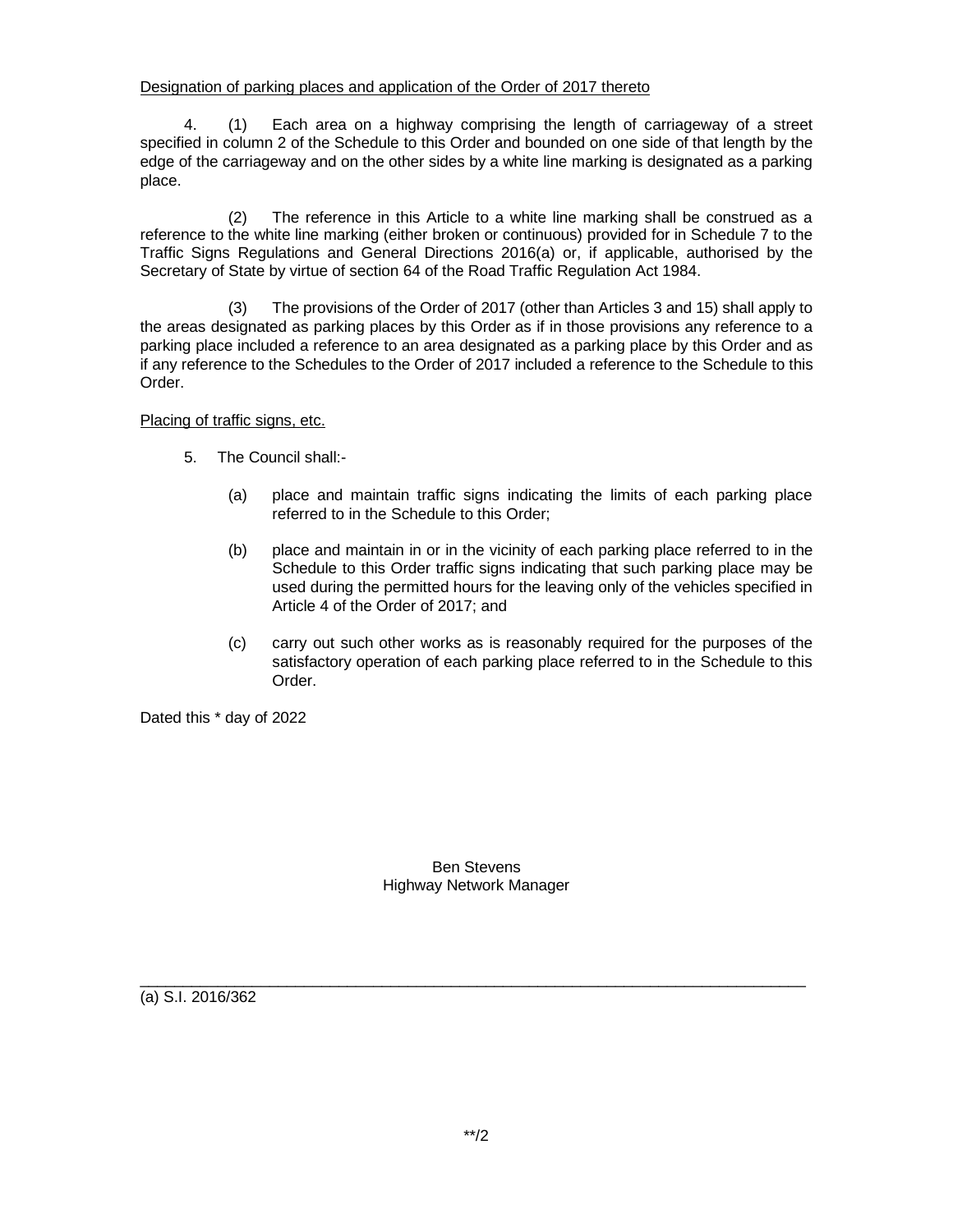### Designation of parking places and application of the Order of 2017 thereto

4. (1) Each area on a highway comprising the length of carriageway of a street specified in column 2 of the Schedule to this Order and bounded on one side of that length by the edge of the carriageway and on the other sides by a white line marking is designated as a parking place.

(2) The reference in this Article to a white line marking shall be construed as a reference to the white line marking (either broken or continuous) provided for in Schedule 7 to the Traffic Signs Regulations and General Directions 2016(a) or, if applicable, authorised by the Secretary of State by virtue of section 64 of the Road Traffic Regulation Act 1984.

(3) The provisions of the Order of 2017 (other than Articles 3 and 15) shall apply to the areas designated as parking places by this Order as if in those provisions any reference to a parking place included a reference to an area designated as a parking place by this Order and as if any reference to the Schedules to the Order of 2017 included a reference to the Schedule to this Order.

Placing of traffic signs, etc.

- 5. The Council shall:-
	- (a) place and maintain traffic signs indicating the limits of each parking place referred to in the Schedule to this Order;
	- (b) place and maintain in or in the vicinity of each parking place referred to in the Schedule to this Order traffic signs indicating that such parking place may be used during the permitted hours for the leaving only of the vehicles specified in Article 4 of the Order of 2017; and
	- (c) carry out such other works as is reasonably required for the purposes of the satisfactory operation of each parking place referred to in the Schedule to this Order.

Dated this \* day of 2022

Ben Stevens Highway Network Manager

 $\_$  ,  $\_$  ,  $\_$  ,  $\_$  ,  $\_$  ,  $\_$  ,  $\_$  ,  $\_$  ,  $\_$  ,  $\_$  ,  $\_$  ,  $\_$  ,  $\_$  ,  $\_$  ,  $\_$  ,  $\_$  ,  $\_$  ,  $\_$  ,  $\_$  ,  $\_$  ,  $\_$  ,  $\_$  ,  $\_$  ,  $\_$  ,  $\_$  ,  $\_$  ,  $\_$  ,  $\_$  ,  $\_$  ,  $\_$  ,  $\_$  ,  $\_$  ,  $\_$  ,  $\_$  ,  $\_$  ,  $\_$  ,  $\_$  , (a) S.I. 2016/362